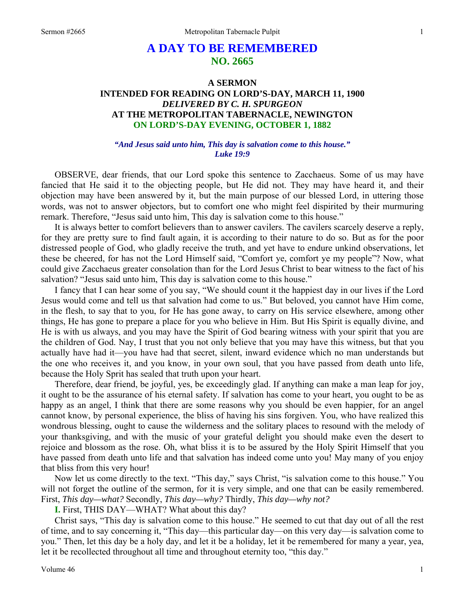# **A DAY TO BE REMEMBERED NO. 2665**

## **A SERMON INTENDED FOR READING ON LORD'S-DAY, MARCH 11, 1900**  *DELIVERED BY C. H. SPURGEON*  **AT THE METROPOLITAN TABERNACLE, NEWINGTON ON LORD'S-DAY EVENING, OCTOBER 1, 1882**

### *"And Jesus said unto him, This day is salvation come to this house." Luke 19:9*

OBSERVE, dear friends, that our Lord spoke this sentence to Zacchaeus. Some of us may have fancied that He said it to the objecting people, but He did not. They may have heard it, and their objection may have been answered by it, but the main purpose of our blessed Lord, in uttering those words, was not to answer objectors, but to comfort one who might feel dispirited by their murmuring remark. Therefore, "Jesus said unto him, This day is salvation come to this house."

 It is always better to comfort believers than to answer cavilers. The cavilers scarcely deserve a reply, for they are pretty sure to find fault again, it is according to their nature to do so. But as for the poor distressed people of God, who gladly receive the truth, and yet have to endure unkind observations, let these be cheered, for has not the Lord Himself said, "Comfort ye, comfort ye my people"? Now, what could give Zacchaeus greater consolation than for the Lord Jesus Christ to bear witness to the fact of his salvation? "Jesus said unto him, This day is salvation come to this house."

 I fancy that I can hear some of you say, "We should count it the happiest day in our lives if the Lord Jesus would come and tell us that salvation had come to us." But beloved, you cannot have Him come, in the flesh, to say that to you, for He has gone away, to carry on His service elsewhere, among other things, He has gone to prepare a place for you who believe in Him. But His Spirit is equally divine, and He is with us always, and you may have the Spirit of God bearing witness with your spirit that you are the children of God. Nay, I trust that you not only believe that you may have this witness, but that you actually have had it—you have had that secret, silent, inward evidence which no man understands but the one who receives it, and you know, in your own soul, that you have passed from death unto life, because the Holy Sprit has sealed that truth upon your heart.

 Therefore, dear friend, be joyful, yes, be exceedingly glad. If anything can make a man leap for joy, it ought to be the assurance of his eternal safety. If salvation has come to your heart, you ought to be as happy as an angel, I think that there are some reasons why you should be even happier, for an angel cannot know, by personal experience, the bliss of having his sins forgiven. You, who have realized this wondrous blessing, ought to cause the wilderness and the solitary places to resound with the melody of your thanksgiving, and with the music of your grateful delight you should make even the desert to rejoice and blossom as the rose. Oh, what bliss it is to be assured by the Holy Spirit Himself that you have passed from death unto life and that salvation has indeed come unto you! May many of you enjoy that bliss from this very hour!

 Now let us come directly to the text. "This day," says Christ, "is salvation come to this house." You will not forget the outline of the sermon, for it is very simple, and one that can be easily remembered. First, *This day—what?* Secondly, *This day—why?* Thirdly, *This day—why not?* 

**I.** First, THIS DAY—WHAT? What about this day?

 Christ says, "This day is salvation come to this house." He seemed to cut that day out of all the rest of time, and to say concerning it, "This day—this particular day—on this very day—is salvation come to you." Then, let this day be a holy day, and let it be a holiday, let it be remembered for many a year, yea, let it be recollected throughout all time and throughout eternity too, "this day."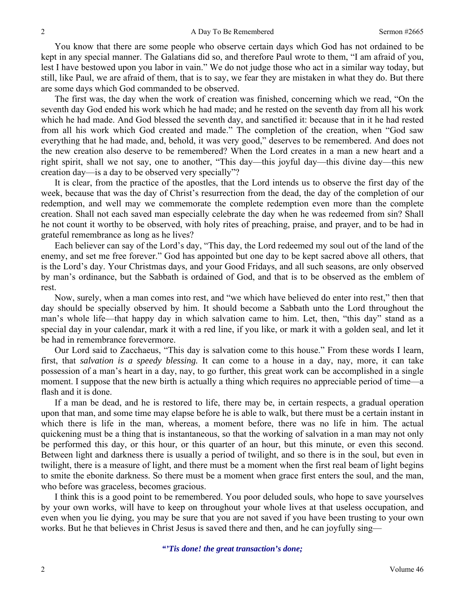You know that there are some people who observe certain days which God has not ordained to be kept in any special manner. The Galatians did so, and therefore Paul wrote to them, "I am afraid of you, lest I have bestowed upon you labor in vain." We do not judge those who act in a similar way today, but still, like Paul, we are afraid of them, that is to say, we fear they are mistaken in what they do. But there are some days which God commanded to be observed.

 The first was, the day when the work of creation was finished, concerning which we read, "On the seventh day God ended his work which he had made; and he rested on the seventh day from all his work which he had made. And God blessed the seventh day, and sanctified it: because that in it he had rested from all his work which God created and made." The completion of the creation, when "God saw everything that he had made, and, behold, it was very good," deserves to be remembered. And does not the new creation also deserve to be remembered? When the Lord creates in a man a new heart and a right spirit, shall we not say, one to another, "This day—this joyful day—this divine day—this new creation day—is a day to be observed very specially"?

 It is clear, from the practice of the apostles, that the Lord intends us to observe the first day of the week, because that was the day of Christ's resurrection from the dead, the day of the completion of our redemption, and well may we commemorate the complete redemption even more than the complete creation. Shall not each saved man especially celebrate the day when he was redeemed from sin? Shall he not count it worthy to be observed, with holy rites of preaching, praise, and prayer, and to be had in grateful remembrance as long as he lives?

Each believer can say of the Lord's day, "This day, the Lord redeemed my soul out of the land of the enemy, and set me free forever." God has appointed but one day to be kept sacred above all others, that is the Lord's day. Your Christmas days, and your Good Fridays, and all such seasons, are only observed by man's ordinance, but the Sabbath is ordained of God, and that is to be observed as the emblem of rest.

Now, surely, when a man comes into rest, and "we which have believed do enter into rest," then that day should be specially observed by him. It should become a Sabbath unto the Lord throughout the man's whole life—that happy day in which salvation came to him. Let, then, "this day" stand as a special day in your calendar, mark it with a red line, if you like, or mark it with a golden seal, and let it be had in remembrance forevermore.

 Our Lord said to Zacchaeus, "This day is salvation come to this house." From these words I learn, first, that *salvation is a speedy blessing.* It can come to a house in a day, nay, more, it can take possession of a man's heart in a day, nay, to go further, this great work can be accomplished in a single moment. I suppose that the new birth is actually a thing which requires no appreciable period of time—a flash and it is done.

 If a man be dead, and he is restored to life, there may be, in certain respects, a gradual operation upon that man, and some time may elapse before he is able to walk, but there must be a certain instant in which there is life in the man, whereas, a moment before, there was no life in him. The actual quickening must be a thing that is instantaneous, so that the working of salvation in a man may not only be performed this day, or this hour, or this quarter of an hour, but this minute, or even this second. Between light and darkness there is usually a period of twilight, and so there is in the soul, but even in twilight, there is a measure of light, and there must be a moment when the first real beam of light begins to smite the ebonite darkness. So there must be a moment when grace first enters the soul, and the man, who before was graceless, becomes gracious.

 I think this is a good point to be remembered. You poor deluded souls, who hope to save yourselves by your own works, will have to keep on throughout your whole lives at that useless occupation, and even when you lie dying, you may be sure that you are not saved if you have been trusting to your own works. But he that believes in Christ Jesus is saved there and then, and he can joyfully sing—

*"'Tis done! the great transaction's done;*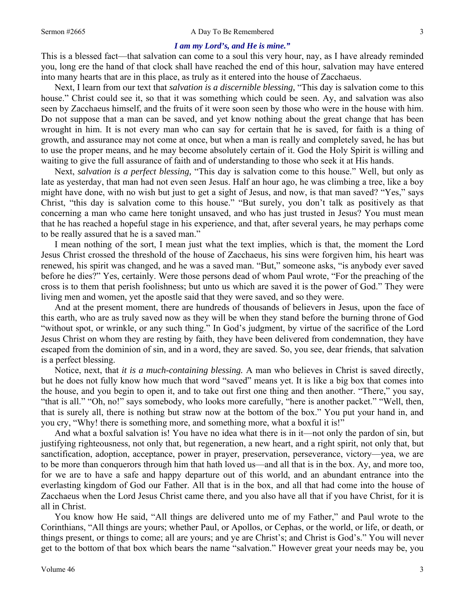#### *I am my Lord's, and He is mine."*

This is a blessed fact—that salvation can come to a soul this very hour, nay, as I have already reminded you, long ere the hand of that clock shall have reached the end of this hour, salvation may have entered into many hearts that are in this place, as truly as it entered into the house of Zacchaeus.

 Next, I learn from our text that *salvation is a discernible blessing,* "This day is salvation come to this house." Christ could see it, so that it was something which could be seen. Ay, and salvation was also seen by Zacchaeus himself, and the fruits of it were soon seen by those who were in the house with him. Do not suppose that a man can be saved, and yet know nothing about the great change that has been wrought in him. It is not every man who can say for certain that he is saved, for faith is a thing of growth, and assurance may not come at once, but when a man is really and completely saved, he has but to use the proper means, and he may become absolutely certain of it. God the Holy Spirit is willing and waiting to give the full assurance of faith and of understanding to those who seek it at His hands.

 Next, *salvation is a perfect blessing,* "This day is salvation come to this house." Well, but only as late as yesterday, that man had not even seen Jesus. Half an hour ago, he was climbing a tree, like a boy might have done, with no wish but just to get a sight of Jesus, and now, is that man saved? "Yes," says Christ, "this day is salvation come to this house." "But surely, you don't talk as positively as that concerning a man who came here tonight unsaved, and who has just trusted in Jesus? You must mean that he has reached a hopeful stage in his experience, and that, after several years, he may perhaps come to be really assured that he is a saved man."

 I mean nothing of the sort, I mean just what the text implies, which is that, the moment the Lord Jesus Christ crossed the threshold of the house of Zacchaeus, his sins were forgiven him, his heart was renewed, his spirit was changed, and he was a saved man. "But," someone asks, "is anybody ever saved before he dies?" Yes, certainly. Were those persons dead of whom Paul wrote, "For the preaching of the cross is to them that perish foolishness; but unto us which are saved it is the power of God." They were living men and women, yet the apostle said that they were saved, and so they were.

 And at the present moment, there are hundreds of thousands of believers in Jesus, upon the face of this earth, who are as truly saved now as they will be when they stand before the burning throne of God "without spot, or wrinkle, or any such thing." In God's judgment, by virtue of the sacrifice of the Lord Jesus Christ on whom they are resting by faith, they have been delivered from condemnation, they have escaped from the dominion of sin, and in a word, they are saved. So, you see, dear friends, that salvation is a perfect blessing.

 Notice, next, that *it is a much-containing blessing.* A man who believes in Christ is saved directly, but he does not fully know how much that word "saved" means yet. It is like a big box that comes into the house, and you begin to open it, and to take out first one thing and then another. "There," you say, "that is all." "Oh, no!" says somebody, who looks more carefully, "here is another packet." "Well, then, that is surely all, there is nothing but straw now at the bottom of the box." You put your hand in, and you cry, "Why! there is something more, and something more, what a boxful it is!"

And what a boxful salvation is! You have no idea what there is in it—not only the pardon of sin, but justifying righteousness, not only that, but regeneration, a new heart, and a right spirit, not only that, but sanctification, adoption, acceptance, power in prayer, preservation, perseverance, victory—yea, we are to be more than conquerors through him that hath loved us—and all that is in the box. Ay, and more too, for we are to have a safe and happy departure out of this world, and an abundant entrance into the everlasting kingdom of God our Father. All that is in the box, and all that had come into the house of Zacchaeus when the Lord Jesus Christ came there, and you also have all that if you have Christ, for it is all in Christ.

You know how He said, "All things are delivered unto me of my Father," and Paul wrote to the Corinthians, "All things are yours; whether Paul, or Apollos, or Cephas, or the world, or life, or death, or things present, or things to come; all are yours; and ye are Christ's; and Christ is God's." You will never get to the bottom of that box which bears the name "salvation." However great your needs may be, you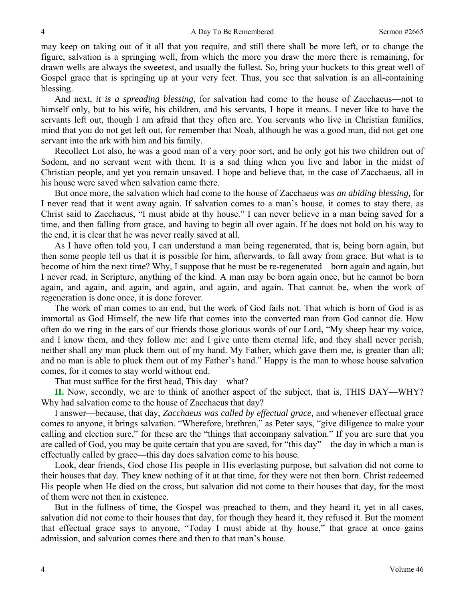may keep on taking out of it all that you require, and still there shall be more left, or to change the figure, salvation is a springing well, from which the more you draw the more there is remaining, for drawn wells are always the sweetest, and usually the fullest. So, bring your buckets to this great well of Gospel grace that is springing up at your very feet. Thus, you see that salvation is an all-containing blessing.

 And next, *it is a spreading blessing,* for salvation had come to the house of Zacchaeus—not to himself only, but to his wife, his children, and his servants, I hope it means. I never like to have the servants left out, though I am afraid that they often are. You servants who live in Christian families, mind that you do not get left out, for remember that Noah, although he was a good man, did not get one servant into the ark with him and his family.

 Recollect Lot also, he was a good man of a very poor sort, and he only got his two children out of Sodom, and no servant went with them. It is a sad thing when you live and labor in the midst of Christian people, and yet you remain unsaved. I hope and believe that, in the case of Zacchaeus, all in his house were saved when salvation came there.

 But once more, the salvation which had come to the house of Zacchaeus was *an abiding blessing,* for I never read that it went away again. If salvation comes to a man's house, it comes to stay there, as Christ said to Zacchaeus, "I must abide at thy house." I can never believe in a man being saved for a time, and then falling from grace, and having to begin all over again. If he does not hold on his way to the end, it is clear that he was never really saved at all.

As I have often told you, I can understand a man being regenerated, that is, being born again, but then some people tell us that it is possible for him, afterwards, to fall away from grace. But what is to become of him the next time? Why, I suppose that he must be re-regenerated—born again and again, but I never read, in Scripture, anything of the kind. A man may be born again once, but he cannot be born again, and again, and again, and again, and again, and again. That cannot be, when the work of regeneration is done once, it is done forever.

The work of man comes to an end, but the work of God fails not. That which is born of God is as immortal as God Himself, the new life that comes into the converted man from God cannot die. How often do we ring in the ears of our friends those glorious words of our Lord, "My sheep hear my voice, and I know them, and they follow me: and I give unto them eternal life, and they shall never perish, neither shall any man pluck them out of my hand. My Father, which gave them me, is greater than all; and no man is able to pluck them out of my Father's hand." Happy is the man to whose house salvation comes, for it comes to stay world without end.

That must suffice for the first head, This day—what?

**II.** Now, secondly, we are to think of another aspect of the subject, that is, THIS DAY—WHY? Why had salvation come to the house of Zacchaeus that day?

 I answer—because, that day, *Zacchaeus was called by effectual grace,* and whenever effectual grace comes to anyone, it brings salvation. "Wherefore, brethren," as Peter says, "give diligence to make your calling and election sure," for these are the "things that accompany salvation." If you are sure that you are called of God, you may be quite certain that you are saved, for "this day"—the day in which a man is effectually called by grace—this day does salvation come to his house.

Look, dear friends, God chose His people in His everlasting purpose, but salvation did not come to their houses that day. They knew nothing of it at that time, for they were not then born. Christ redeemed His people when He died on the cross, but salvation did not come to their houses that day, for the most of them were not then in existence.

But in the fullness of time, the Gospel was preached to them, and they heard it, yet in all cases, salvation did not come to their houses that day, for though they heard it, they refused it. But the moment that effectual grace says to anyone, "Today I must abide at thy house," that grace at once gains admission, and salvation comes there and then to that man's house.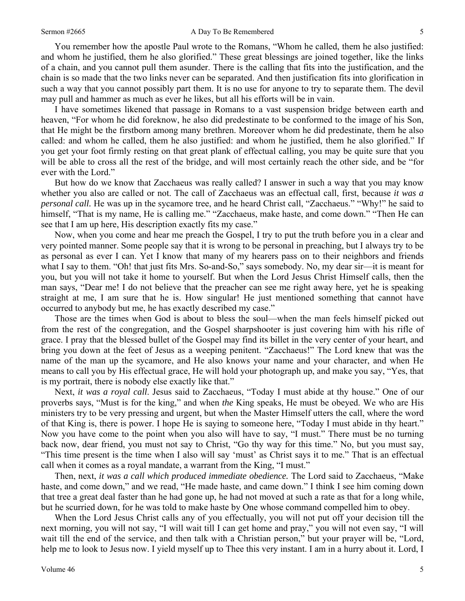#### Sermon #2665 **A Day To Be Remembered** 5

You remember how the apostle Paul wrote to the Romans, "Whom he called, them he also justified: and whom he justified, them he also glorified." These great blessings are joined together, like the links of a chain, and you cannot pull them asunder. There is the calling that fits into the justification, and the chain is so made that the two links never can be separated. And then justification fits into glorification in such a way that you cannot possibly part them. It is no use for anyone to try to separate them. The devil may pull and hammer as much as ever he likes, but all his efforts will be in vain.

I have sometimes likened that passage in Romans to a vast suspension bridge between earth and heaven, "For whom he did foreknow, he also did predestinate to be conformed to the image of his Son, that He might be the firstborn among many brethren. Moreover whom he did predestinate, them he also called: and whom he called, them he also justified: and whom he justified, them he also glorified." If you get your foot firmly resting on that great plank of effectual calling, you may be quite sure that you will be able to cross all the rest of the bridge, and will most certainly reach the other side, and be "for ever with the Lord."

But how do we know that Zacchaeus was really called? I answer in such a way that you may know whether you also are called or not. The call of Zacchaeus was an effectual call, first, because *it was a personal call.* He was up in the sycamore tree, and he heard Christ call, "Zacchaeus." "Why!" he said to himself, "That is my name, He is calling me." "Zacchaeus, make haste, and come down." "Then He can see that I am up here, His description exactly fits my case."

Now, when you come and hear me preach the Gospel, I try to put the truth before you in a clear and very pointed manner. Some people say that it is wrong to be personal in preaching, but I always try to be as personal as ever I can. Yet I know that many of my hearers pass on to their neighbors and friends what I say to them. "Oh! that just fits Mrs. So-and-So," says somebody. No, my dear sir—it is meant for you, but you will not take it home to yourself. But when the Lord Jesus Christ Himself calls, then the man says, "Dear me! I do not believe that the preacher can see me right away here, yet he is speaking straight at me, I am sure that he is. How singular! He just mentioned something that cannot have occurred to anybody but me, he has exactly described my case."

Those are the times when God is about to bless the soul—when the man feels himself picked out from the rest of the congregation, and the Gospel sharpshooter is just covering him with his rifle of grace. I pray that the blessed bullet of the Gospel may find its billet in the very center of your heart, and bring you down at the feet of Jesus as a weeping penitent. "Zacchaeus!" The Lord knew that was the name of the man up the sycamore, and He also knows your name and your character, and when He means to call you by His effectual grace, He will hold your photograph up, and make you say, "Yes, that is my portrait, there is nobody else exactly like that."

Next, *it was a royal call*. Jesus said to Zacchaeus, "Today I must abide at thy house." One of our proverbs says, "Must is for the king," and when *the* King speaks, He must be obeyed. We who are His ministers try to be very pressing and urgent, but when the Master Himself utters the call, where the word of that King is, there is power. I hope He is saying to someone here, "Today I must abide in thy heart." Now you have come to the point when you also will have to say, "I must." There must be no turning back now, dear friend, you must not say to Christ, "Go thy way for this time." No, but you must say, "This time present is the time when I also will say 'must' as Christ says it to me." That is an effectual call when it comes as a royal mandate, a warrant from the King, "I must."

Then, next, *it was a call which produced immediate obedience.* The Lord said to Zacchaeus, "Make haste, and come down," and we read, "He made haste, and came down." I think I see him coming down that tree a great deal faster than he had gone up, he had not moved at such a rate as that for a long while, but he scurried down, for he was told to make haste by One whose command compelled him to obey.

When the Lord Jesus Christ calls any of you effectually, you will not put off your decision till the next morning, you will not say, "I will wait till I can get home and pray," you will not even say, "I will wait till the end of the service, and then talk with a Christian person," but your prayer will be, "Lord, help me to look to Jesus now. I yield myself up to Thee this very instant. I am in a hurry about it. Lord, I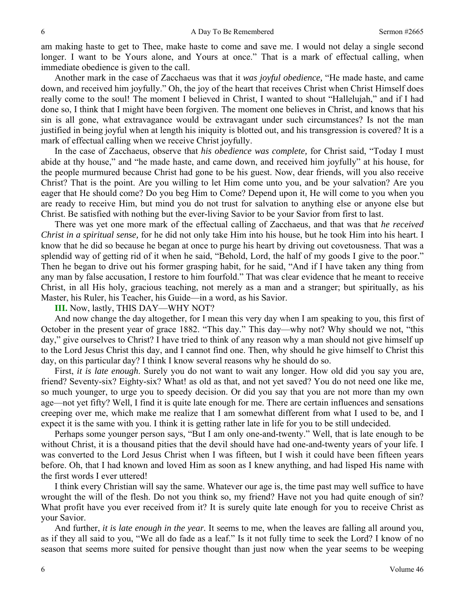am making haste to get to Thee, make haste to come and save me. I would not delay a single second longer. I want to be Yours alone, and Yours at once." That is a mark of effectual calling, when immediate obedience is given to the call.

Another mark in the case of Zacchaeus was that it *was joyful obedience,* "He made haste, and came down, and received him joyfully." Oh, the joy of the heart that receives Christ when Christ Himself does really come to the soul! The moment I believed in Christ, I wanted to shout "Hallelujah," and if I had done so, I think that I might have been forgiven. The moment one believes in Christ, and knows that his sin is all gone, what extravagance would be extravagant under such circumstances? Is not the man justified in being joyful when at length his iniquity is blotted out, and his transgression is covered? It is a mark of effectual calling when we receive Christ joyfully.

In the case of Zacchaeus, observe that *his obedience was complete,* for Christ said, "Today I must abide at thy house," and "he made haste, and came down, and received him joyfully" at his house, for the people murmured because Christ had gone to be his guest. Now, dear friends, will you also receive Christ? That is the point. Are you willing to let Him come unto you, and be your salvation? Are you eager that He should come? Do you beg Him to Come? Depend upon it, He will come to you when you are ready to receive Him, but mind you do not trust for salvation to anything else or anyone else but Christ. Be satisfied with nothing but the ever-living Savior to be your Savior from first to last.

There was yet one more mark of the effectual calling of Zacchaeus, and that was that *he received Christ in a spiritual sense,* for he did not only take Him into his house, but he took Him into his heart. I know that he did so because he began at once to purge his heart by driving out covetousness. That was a splendid way of getting rid of it when he said, "Behold, Lord, the half of my goods I give to the poor." Then he began to drive out his former grasping habit, for he said, "And if I have taken any thing from any man by false accusation, I restore to him fourfold." That was clear evidence that he meant to receive Christ, in all His holy, gracious teaching, not merely as a man and a stranger; but spiritually, as his Master, his Ruler, his Teacher, his Guide—in a word, as his Savior.

## **III.** Now, lastly, THIS DAY—WHY NOT?

And now change the day altogether, for I mean this very day when I am speaking to you, this first of October in the present year of grace 1882. "This day." This day—why not? Why should we not, "this day," give ourselves to Christ? I have tried to think of any reason why a man should not give himself up to the Lord Jesus Christ this day, and I cannot find one. Then, why should he give himself to Christ this day, on this particular day? I think I know several reasons why he should do so.

First, *it is late enough*. Surely you do not want to wait any longer. How old did you say you are, friend? Seventy-six? Eighty-six? What! as old as that, and not yet saved? You do not need one like me, so much younger, to urge you to speedy decision. Or did you say that you are not more than my own age—not yet fifty? Well, I find it is quite late enough for me. There are certain influences and sensations creeping over me, which make me realize that I am somewhat different from what I used to be, and I expect it is the same with you. I think it is getting rather late in life for you to be still undecided.

Perhaps some younger person says, "But I am only one-and-twenty." Well, that is late enough to be without Christ, it is a thousand pities that the devil should have had one-and-twenty years of your life. I was converted to the Lord Jesus Christ when I was fifteen, but I wish it could have been fifteen years before. Oh, that I had known and loved Him as soon as I knew anything, and had lisped His name with the first words I ever uttered!

I think every Christian will say the same. Whatever our age is, the time past may well suffice to have wrought the will of the flesh. Do not you think so, my friend? Have not you had quite enough of sin? What profit have you ever received from it? It is surely quite late enough for you to receive Christ as your Savior.

And further, *it is late enough in the year.* It seems to me, when the leaves are falling all around you, as if they all said to you, "We all do fade as a leaf." Is it not fully time to seek the Lord? I know of no season that seems more suited for pensive thought than just now when the year seems to be weeping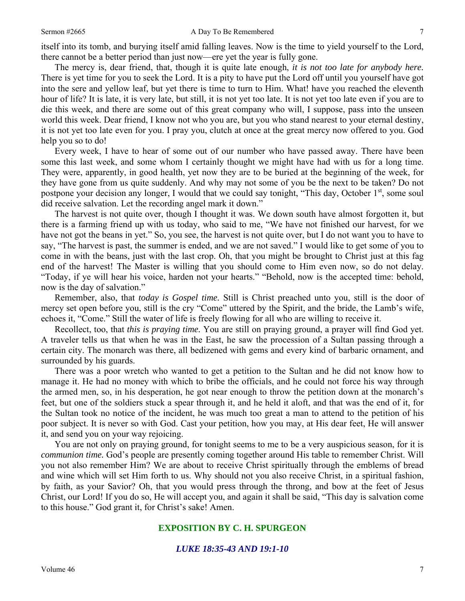itself into its tomb, and burying itself amid falling leaves. Now is the time to yield yourself to the Lord, there cannot be a better period than just now—ere yet the year is fully gone.

The mercy is, dear friend, that, though it is quite late enough, *it is not too late for anybody here.*  There is yet time for you to seek the Lord. It is a pity to have put the Lord off until you yourself have got into the sere and yellow leaf, but yet there is time to turn to Him. What! have you reached the eleventh hour of life? It is late, it is very late, but still, it is not yet too late. It is not yet too late even if you are to die this week, and there are some out of this great company who will, I suppose, pass into the unseen world this week. Dear friend, I know not who you are, but you who stand nearest to your eternal destiny, it is not yet too late even for you. I pray you, clutch at once at the great mercy now offered to you. God help you so to do!

 Every week, I have to hear of some out of our number who have passed away. There have been some this last week, and some whom I certainly thought we might have had with us for a long time. They were, apparently, in good health, yet now they are to be buried at the beginning of the week, for they have gone from us quite suddenly. And why may not some of you be the next to be taken? Do not postpone your decision any longer, I would that we could say tonight, "This day, October 1<sup>st</sup>, some soul did receive salvation. Let the recording angel mark it down."

 The harvest is not quite over, though I thought it was. We down south have almost forgotten it, but there is a farming friend up with us today, who said to me, "We have not finished our harvest, for we have not got the beans in yet." So, you see, the harvest is not quite over, but I do not want you to have to say, "The harvest is past, the summer is ended, and we are not saved." I would like to get some of you to come in with the beans, just with the last crop. Oh, that you might be brought to Christ just at this fag end of the harvest! The Master is willing that you should come to Him even now, so do not delay. "Today, if ye will hear his voice, harden not your hearts." "Behold, now is the accepted time: behold, now is the day of salvation."

 Remember, also, that *today is Gospel time.* Still is Christ preached unto you, still is the door of mercy set open before you, still is the cry "Come" uttered by the Spirit, and the bride, the Lamb's wife, echoes it, "Come." Still the water of life is freely flowing for all who are willing to receive it.

 Recollect, too, that *this is praying time.* You are still on praying ground, a prayer will find God yet. A traveler tells us that when he was in the East, he saw the procession of a Sultan passing through a certain city. The monarch was there, all bedizened with gems and every kind of barbaric ornament, and surrounded by his guards.

 There was a poor wretch who wanted to get a petition to the Sultan and he did not know how to manage it. He had no money with which to bribe the officials, and he could not force his way through the armed men, so, in his desperation, he got near enough to throw the petition down at the monarch's feet, but one of the soldiers stuck a spear through it, and he held it aloft, and that was the end of it, for the Sultan took no notice of the incident, he was much too great a man to attend to the petition of his poor subject. It is never so with God. Cast your petition, how you may, at His dear feet, He will answer it, and send you on your way rejoicing.

 You are not only on praying ground, for tonight seems to me to be a very auspicious season, for it is *communion time.* God's people are presently coming together around His table to remember Christ. Will you not also remember Him? We are about to receive Christ spiritually through the emblems of bread and wine which will set Him forth to us. Why should not you also receive Christ, in a spiritual fashion, by faith, as your Savior? Oh, that you would press through the throng, and bow at the feet of Jesus Christ, our Lord! If you do so, He will accept you, and again it shall be said, "This day is salvation come to this house." God grant it, for Christ's sake! Amen.

## **EXPOSITION BY C. H. SPURGEON**

## *LUKE 18:35-43 AND 19:1-10*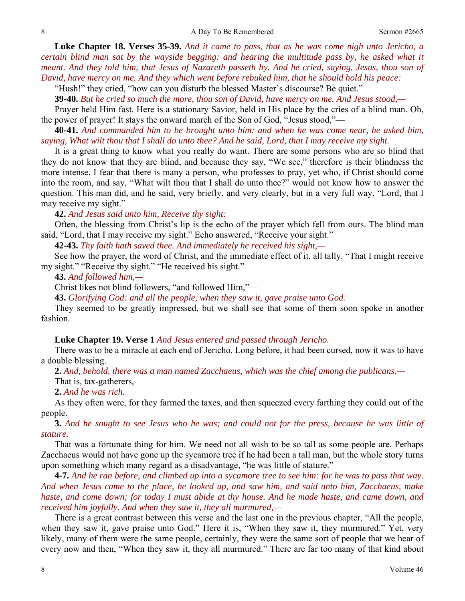**Luke Chapter 18. Verses 35-39.** *And it came to pass, that as he was come nigh unto Jericho, a certain blind man sat by the wayside begging: and hearing the multitude pass by, he asked what it meant. And they told him, that Jesus of Nazareth passeth by. And he cried, saying, Jesus, thou son of David, have mercy on me. And they which went before rebuked him, that he should hold his peace:* 

"Hush!" they cried, "how can you disturb the blessed Master's discourse? Be quiet."

**39-40.** *But he cried so much the more, thou son of David, have mercy on me. And Jesus stood,—* 

Prayer held Him fast. Here is a stationary Savior, held in His place by the cries of a blind man. Oh, the power of prayer! It stays the onward march of the Son of God, "Jesus stood,"—

**40-41.** *And commanded him to be brought unto him: and when he was come near, he asked him, saying, What wilt thou that I shall do unto thee? And he said, Lord, that I may receive my sight.* 

It is a great thing to know what you really do want. There are some persons who are so blind that they do not know that they are blind, and because they say, "We see," therefore is their blindness the more intense. I fear that there is many a person, who professes to pray, yet who, if Christ should come into the room, and say, "What wilt thou that I shall do unto thee?" would not know how to answer the question. This man did, and he said, very briefly, and very clearly, but in a very full way, "Lord, that I may receive my sight."

**42.** *And Jesus said unto him, Receive thy sight:* 

Often, the blessing from Christ's lip is the echo of the prayer which fell from ours. The blind man said, "Lord, that I may receive my sight." Echo answered, "Receive your sight."

**42-43.** *Thy faith hath saved thee. And immediately he received his sight,—* 

See how the prayer, the word of Christ, and the immediate effect of it, all tally. "That I might receive my sight." "Receive thy sight." "He received his sight."

**43.** *And followed him,—* 

Christ likes not blind followers, "and followed Him,"—

**43.** *Glorifying God: and all the people, when they saw it, gave praise unto God.* 

They seemed to be greatly impressed, but we shall see that some of them soon spoke in another fashion.

### **Luke Chapter 19. Verse 1** *And Jesus entered and passed through Jericho.*

There was to be a miracle at each end of Jericho. Long before, it had been cursed, now it was to have a double blessing.

**2.** *And, behold, there was a man named Zacchaeus, which was the chief among the publicans,—* 

That is, tax-gatherers,—

**2.** *And he was rich.* 

As they often were, for they farmed the taxes, and then squeezed every farthing they could out of the people.

**3.** *And he sought to see Jesus who he was; and could not for the press, because he was little of stature.* 

That was a fortunate thing for him. We need not all wish to be so tall as some people are. Perhaps Zacchaeus would not have gone up the sycamore tree if he had been a tall man, but the whole story turns upon something which many regard as a disadvantage, "he was little of stature."

**4-7.** *And he ran before, and climbed up into a sycamore tree to see him: for he was to pass that way. And when Jesus came to the place, he looked up, and saw him, and said unto him, Zacchaeus, make haste, and come down; for today I must abide at thy house. And he made haste, and came down, and received him joyfully. And when they saw it, they all murmured,—* 

There is a great contrast between this verse and the last one in the previous chapter, "All the people, when they saw it, gave praise unto God." Here it is, "When they saw it, they murmured." Yet, very likely, many of them were the same people, certainly, they were the same sort of people that we hear of every now and then, "When they saw it, they all murmured." There are far too many of that kind about